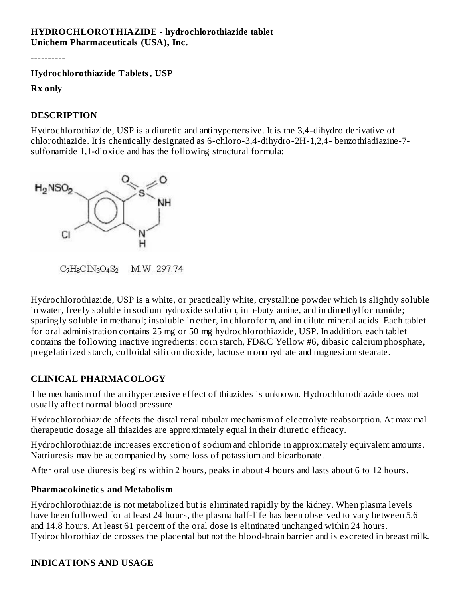#### **HYDROCHLOROTHIAZIDE - hydrochlorothiazide tablet Unichem Pharmaceuticals (USA), Inc.**

----------

#### **Hydrochlorothiazide Tablets, USP**

**Rx only**

### **DESCRIPTION**

Hydrochlorothiazide, USP is a diuretic and antihypertensive. It is the 3,4-dihydro derivative of chlorothiazide. It is chemically designated as 6-chloro-3,4-dihydro-2H-1,2,4- benzothiadiazine-7 sulfonamide 1,1-dioxide and has the following structural formula:



 $C_7H_8C1N_3O_4S_2$ M.W. 297.74

Hydrochlorothiazide, USP is a white, or practically white, crystalline powder which is slightly soluble in water, freely soluble in sodium hydroxide solution, in n-butylamine, and in dimethylformamide; sparingly soluble in methanol; insoluble in ether, in chloroform, and in dilute mineral acids. Each tablet for oral administration contains 25 mg or 50 mg hydrochlorothiazide, USP. In addition, each tablet contains the following inactive ingredients: corn starch, FD&C Yellow #6, dibasic calcium phosphate, pregelatinized starch, colloidal silicon dioxide, lactose monohydrate and magnesium stearate.

## **CLINICAL PHARMACOLOGY**

The mechanism of the antihypertensive effect of thiazides is unknown. Hydrochlorothiazide does not usually affect normal blood pressure.

Hydrochlorothiazide affects the distal renal tubular mechanism of electrolyte reabsorption. At maximal therapeutic dosage all thiazides are approximately equal in their diuretic efficacy.

Hydrochlorothiazide increases excretion of sodium and chloride in approximately equivalent amounts. Natriuresis may be accompanied by some loss of potassium and bicarbonate.

After oral use diuresis begins within 2 hours, peaks in about 4 hours and lasts about 6 to 12 hours.

### **Pharmacokinetics and Metabolism**

Hydrochlorothiazide is not metabolized but is eliminated rapidly by the kidney. When plasma levels have been followed for at least 24 hours, the plasma half-life has been observed to vary between 5.6 and 14.8 hours. At least 61 percent of the oral dose is eliminated unchanged within 24 hours. Hydrochlorothiazide crosses the placental but not the blood-brain barrier and is excreted in breast milk.

## **INDICATIONS AND USAGE**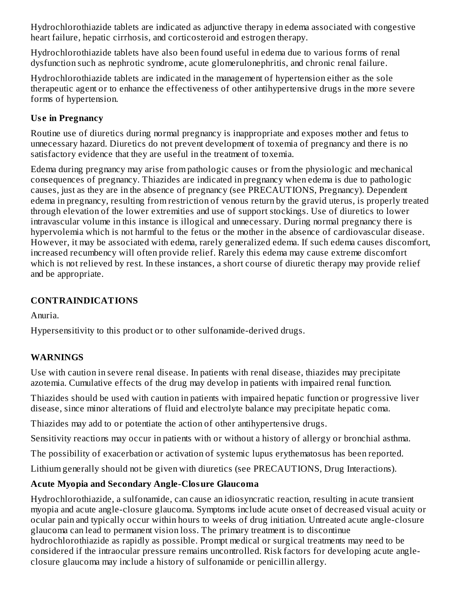Hydrochlorothiazide tablets are indicated as adjunctive therapy in edema associated with congestive heart failure, hepatic cirrhosis, and corticosteroid and estrogen therapy.

Hydrochlorothiazide tablets have also been found useful in edema due to various forms of renal dysfunction such as nephrotic syndrome, acute glomerulonephritis, and chronic renal failure.

Hydrochlorothiazide tablets are indicated in the management of hypertension either as the sole therapeutic agent or to enhance the effectiveness of other antihypertensive drugs in the more severe forms of hypertension.

## **Us e in Pregnancy**

Routine use of diuretics during normal pregnancy is inappropriate and exposes mother and fetus to unnecessary hazard. Diuretics do not prevent development of toxemia of pregnancy and there is no satisfactory evidence that they are useful in the treatment of toxemia.

Edema during pregnancy may arise from pathologic causes or from the physiologic and mechanical consequences of pregnancy. Thiazides are indicated in pregnancy when edema is due to pathologic causes, just as they are in the absence of pregnancy (see PRECAUTIONS, Pregnancy). Dependent edema in pregnancy, resulting from restriction of venous return by the gravid uterus, is properly treated through elevation of the lower extremities and use of support stockings. Use of diuretics to lower intravascular volume in this instance is illogical and unnecessary. During normal pregnancy there is hypervolemia which is not harmful to the fetus or the mother in the absence of cardiovascular disease. However, it may be associated with edema, rarely generalized edema. If such edema causes discomfort, increased recumbency will often provide relief. Rarely this edema may cause extreme discomfort which is not relieved by rest. In these instances, a short course of diuretic therapy may provide relief and be appropriate.

## **CONTRAINDICATIONS**

Anuria.

Hypersensitivity to this product or to other sulfonamide-derived drugs.

## **WARNINGS**

Use with caution in severe renal disease. In patients with renal disease, thiazides may precipitate azotemia. Cumulative effects of the drug may develop in patients with impaired renal function.

Thiazides should be used with caution in patients with impaired hepatic function or progressive liver disease, since minor alterations of fluid and electrolyte balance may precipitate hepatic coma.

Thiazides may add to or potentiate the action of other antihypertensive drugs.

Sensitivity reactions may occur in patients with or without a history of allergy or bronchial asthma.

The possibility of exacerbation or activation of systemic lupus erythematosus has been reported.

Lithium generally should not be given with diuretics (see PRECAUTIONS, Drug Interactions).

## **Acute Myopia and Secondary Angle-Closure Glaucoma**

Hydrochlorothiazide, a sulfonamide, can cause an idiosyncratic reaction, resulting in acute transient myopia and acute angle-closure glaucoma. Symptoms include acute onset of decreased visual acuity or ocular pain and typically occur within hours to weeks of drug initiation. Untreated acute angle-closure glaucoma can lead to permanent vision loss. The primary treatment is to discontinue hydrochlorothiazide as rapidly as possible. Prompt medical or surgical treatments may need to be considered if the intraocular pressure remains uncontrolled. Risk factors for developing acute angleclosure glaucoma may include a history of sulfonamide or penicillin allergy.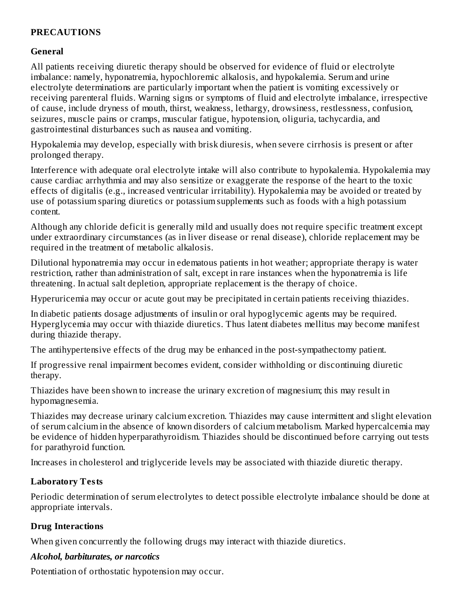### **PRECAUTIONS**

### **General**

All patients receiving diuretic therapy should be observed for evidence of fluid or electrolyte imbalance: namely, hyponatremia, hypochloremic alkalosis, and hypokalemia. Serum and urine electrolyte determinations are particularly important when the patient is vomiting excessively or receiving parenteral fluids. Warning signs or symptoms of fluid and electrolyte imbalance, irrespective of cause, include dryness of mouth, thirst, weakness, lethargy, drowsiness, restlessness, confusion, seizures, muscle pains or cramps, muscular fatigue, hypotension, oliguria, tachycardia, and gastrointestinal disturbances such as nausea and vomiting.

Hypokalemia may develop, especially with brisk diuresis, when severe cirrhosis is present or after prolonged therapy.

Interference with adequate oral electrolyte intake will also contribute to hypokalemia. Hypokalemia may cause cardiac arrhythmia and may also sensitize or exaggerate the response of the heart to the toxic effects of digitalis (e.g., increased ventricular irritability). Hypokalemia may be avoided or treated by use of potassium sparing diuretics or potassium supplements such as foods with a high potassium content.

Although any chloride deficit is generally mild and usually does not require specific treatment except under extraordinary circumstances (as in liver disease or renal disease), chloride replacement may be required in the treatment of metabolic alkalosis.

Dilutional hyponatremia may occur in edematous patients in hot weather; appropriate therapy is water restriction, rather than administration of salt, except in rare instances when the hyponatremia is life threatening. In actual salt depletion, appropriate replacement is the therapy of choice.

Hyperuricemia may occur or acute gout may be precipitated in certain patients receiving thiazides.

In diabetic patients dosage adjustments of insulin or oral hypoglycemic agents may be required. Hyperglycemia may occur with thiazide diuretics. Thus latent diabetes mellitus may become manifest during thiazide therapy.

The antihypertensive effects of the drug may be enhanced in the post-sympathectomy patient.

If progressive renal impairment becomes evident, consider withholding or discontinuing diuretic therapy.

Thiazides have been shown to increase the urinary excretion of magnesium; this may result in hypomagnesemia.

Thiazides may decrease urinary calcium excretion. Thiazides may cause intermittent and slight elevation of serum calcium in the absence of known disorders of calcium metabolism. Marked hypercalcemia may be evidence of hidden hyperparathyroidism. Thiazides should be discontinued before carrying out tests for parathyroid function.

Increases in cholesterol and triglyceride levels may be associated with thiazide diuretic therapy.

### **Laboratory Tests**

Periodic determination of serum electrolytes to detect possible electrolyte imbalance should be done at appropriate intervals.

### **Drug Interactions**

When given concurrently the following drugs may interact with thiazide diuretics.

#### *Alcohol, barbiturates, or narcotics*

Potentiation of orthostatic hypotension may occur.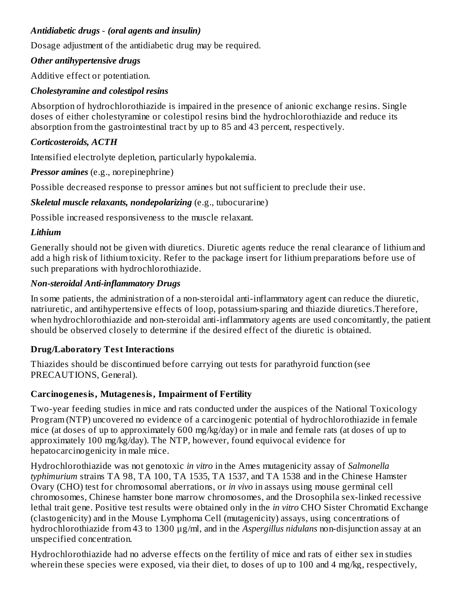### *Antidiabetic drugs* - *(oral agents and insulin)*

Dosage adjustment of the antidiabetic drug may be required.

### *Other antihypertensive drugs*

Additive effect or potentiation.

### *Cholestyramine and colestipol resins*

Absorption of hydrochlorothiazide is impaired in the presence of anionic exchange resins. Single doses of either cholestyramine or colestipol resins bind the hydrochlorothiazide and reduce its absorption from the gastrointestinal tract by up to 85 and 43 percent, respectively.

### *Corticosteroids, ACTH*

Intensified electrolyte depletion, particularly hypokalemia.

*Pressor amines* (e.g., norepinephrine)

Possible decreased response to pressor amines but not sufficient to preclude their use.

### *Skeletal muscle relaxants, nondepolarizing* (e.g., tubocurarine)

Possible increased responsiveness to the muscle relaxant.

## *Lithium*

Generally should not be given with diuretics. Diuretic agents reduce the renal clearance of lithium and add a high risk of lithium toxicity. Refer to the package insert for lithium preparations before use of such preparations with hydrochlorothiazide.

### *Non-steroidal Anti-inflammatory Drugs*

In some patients, the administration of a non-steroidal anti-inflammatory agent can reduce the diuretic, natriuretic, and antihypertensive effects of loop, potassium-sparing and thiazide diuretics.Therefore, when hydrochlorothiazide and non-steroidal anti-inflammatory agents are used concomitantly, the patient should be observed closely to determine if the desired effect of the diuretic is obtained.

## **Drug/Laboratory Test Interactions**

Thiazides should be discontinued before carrying out tests for parathyroid function (see PRECAUTIONS, General).

## **Carcinogenesis, Mutagenesis, Impairment of Fertility**

Two-year feeding studies in mice and rats conducted under the auspices of the National Toxicology Program (NTP) uncovered no evidence of a carcinogenic potential of hydrochlorothiazide in female mice (at doses of up to approximately 600 mg/kg/day) or in male and female rats (at doses of up to approximately 100 mg/kg/day). The NTP, however, found equivocal evidence for hepatocarcinogenicity in male mice.

Hydrochlorothiazide was not genotoxic *in vitro* in the Ames mutagenicity assay of *Salmonella typhimurium* strains TA 98, TA 100, TA 1535, TA 1537, and TA 1538 and in the Chinese Hamster Ovary (CHO) test for chromosomal aberrations, or *in vivo* in assays using mouse germinal cell chromosomes, Chinese hamster bone marrow chromosomes, and the Drosophila sex-linked recessive lethal trait gene. Positive test results were obtained only in the *in vitro* CHO Sister Chromatid Exchange (clastogenicity) and in the Mouse Lymphoma Cell (mutagenicity) assays, using concentrations of hydrochlorothiazide from 43 to 1300 µg/ml, and in the *Aspergillus nidulans* non-disjunction assay at an unspecified concentration.

Hydrochlorothiazide had no adverse effects on the fertility of mice and rats of either sex in studies wherein these species were exposed, via their diet, to doses of up to 100 and 4 mg/kg, respectively,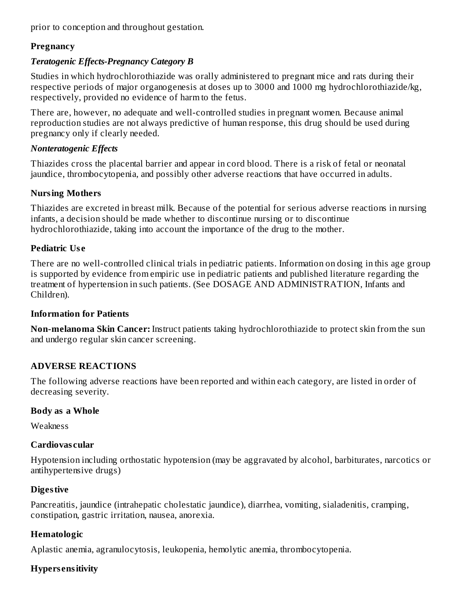prior to conception and throughout gestation.

### **Pregnancy**

### *Teratogenic Effects-Pregnancy Category B*

Studies in which hydrochlorothiazide was orally administered to pregnant mice and rats during their respective periods of major organogenesis at doses up to 3000 and 1000 mg hydrochlorothiazide/kg, respectively, provided no evidence of harm to the fetus.

There are, however, no adequate and well-controlled studies in pregnant women. Because animal reproduction studies are not always predictive of human response, this drug should be used during pregnancy only if clearly needed.

### *Nonteratogenic Effects*

Thiazides cross the placental barrier and appear in cord blood. There is a risk of fetal or neonatal jaundice, thrombocytopenia, and possibly other adverse reactions that have occurred in adults.

### **Nursing Mothers**

Thiazides are excreted in breast milk. Because of the potential for serious adverse reactions in nursing infants, a decision should be made whether to discontinue nursing or to discontinue hydrochlorothiazide, taking into account the importance of the drug to the mother.

### **Pediatric Us e**

There are no well-controlled clinical trials in pediatric patients. Information on dosing in this age group is supported by evidence from empiric use in pediatric patients and published literature regarding the treatment of hypertension in such patients. (See DOSAGE AND ADMINISTRATION, Infants and Children).

### **Information for Patients**

**Non-melanoma Skin Cancer:** Instruct patients taking hydrochlorothiazide to protect skin from the sun and undergo regular skin cancer screening.

## **ADVERSE REACTIONS**

The following adverse reactions have been reported and within each category, are listed in order of decreasing severity.

### **Body as a Whole**

Weakness

### **Cardiovas cular**

Hypotension including orthostatic hypotension (may be aggravated by alcohol, barbiturates, narcotics or antihypertensive drugs)

### **Digestive**

Pancreatitis, jaundice (intrahepatic cholestatic jaundice), diarrhea, vomiting, sialadenitis, cramping, constipation, gastric irritation, nausea, anorexia.

### **Hematologic**

Aplastic anemia, agranulocytosis, leukopenia, hemolytic anemia, thrombocytopenia.

### **Hypers ensitivity**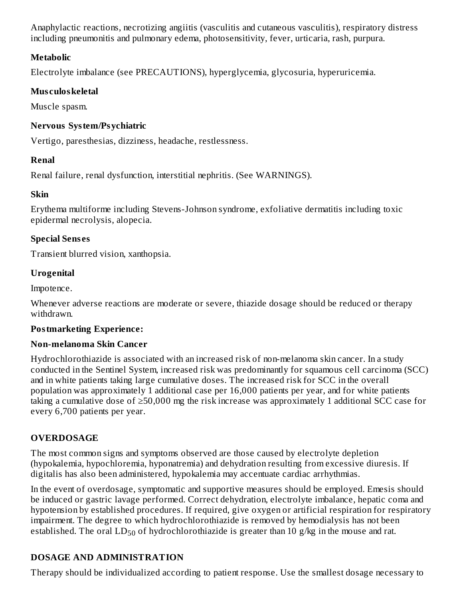Anaphylactic reactions, necrotizing angiitis (vasculitis and cutaneous vasculitis), respiratory distress including pneumonitis and pulmonary edema, photosensitivity, fever, urticaria, rash, purpura.

### **Metabolic**

Electrolyte imbalance (see PRECAUTIONS), hyperglycemia, glycosuria, hyperuricemia.

### **Mus culoskeletal**

Muscle spasm.

### **Nervous System/Psychiatric**

Vertigo, paresthesias, dizziness, headache, restlessness.

### **Renal**

Renal failure, renal dysfunction, interstitial nephritis. (See WARNINGS).

### **Skin**

Erythema multiforme including Stevens-Johnson syndrome, exfoliative dermatitis including toxic epidermal necrolysis, alopecia.

### **Special Sens es**

Transient blurred vision, xanthopsia.

### **Urogenital**

Impotence.

Whenever adverse reactions are moderate or severe, thiazide dosage should be reduced or therapy withdrawn.

### **Postmarketing Experience:**

### **Non-melanoma Skin Cancer**

Hydrochlorothiazide is associated with an increased risk of non-melanoma skin cancer. In a study conducted in the Sentinel System, increased risk was predominantly for squamous cell carcinoma (SCC) and in white patients taking large cumulative doses. The increased risk for SCC in the overall population was approximately 1 additional case per 16,000 patients per year, and for white patients taking a cumulative dose of ≥50,000 mg the risk increase was approximately 1 additional SCC case for every 6,700 patients per year.

## **OVERDOSAGE**

The most common signs and symptoms observed are those caused by electrolyte depletion (hypokalemia, hypochloremia, hyponatremia) and dehydration resulting from excessive diuresis. If digitalis has also been administered, hypokalemia may accentuate cardiac arrhythmias.

In the event of overdosage, symptomatic and supportive measures should be employed. Emesis should be induced or gastric lavage performed. Correct dehydration, electrolyte imbalance, hepatic coma and hypotension by established procedures. If required, give oxygen or artificial respiration for respiratory impairment. The degree to which hydrochlorothiazide is removed by hemodialysis has not been established. The oral  $LD_{50}$  of hydrochlorothiazide is greater than 10 g/kg in the mouse and rat.

## **DOSAGE AND ADMINISTRATION**

Therapy should be individualized according to patient response. Use the smallest dosage necessary to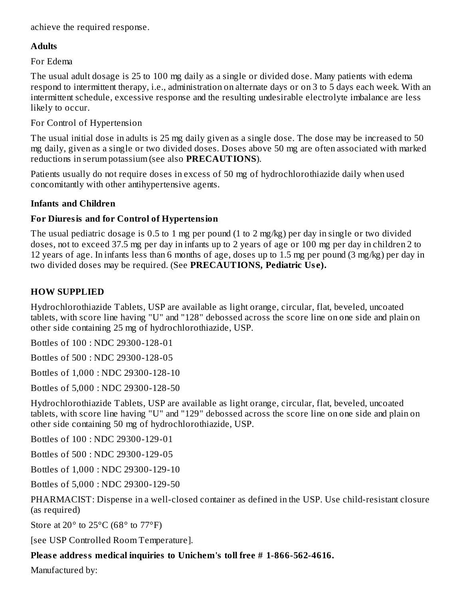achieve the required response.

### **Adults**

For Edema

The usual adult dosage is 25 to 100 mg daily as a single or divided dose. Many patients with edema respond to intermittent therapy, i.e., administration on alternate days or on 3 to 5 days each week. With an intermittent schedule, excessive response and the resulting undesirable electrolyte imbalance are less likely to occur.

## For Control of Hypertension

The usual initial dose in adults is 25 mg daily given as a single dose. The dose may be increased to 50 mg daily, given as a single or two divided doses. Doses above 50 mg are often associated with marked reductions in serum potassium (see also **PRECAUTIONS**).

Patients usually do not require doses in excess of 50 mg of hydrochlorothiazide daily when used concomitantly with other antihypertensive agents.

## **Infants and Children**

## **For Diuresis and for Control of Hypertension**

The usual pediatric dosage is 0.5 to 1 mg per pound (1 to 2 mg/kg) per day in single or two divided doses, not to exceed 37.5 mg per day in infants up to 2 years of age or 100 mg per day in children 2 to 12 years of age. In infants less than 6 months of age, doses up to 1.5 mg per pound (3 mg/kg) per day in two divided doses may be required. (See **PRECAUTIONS, Pediatric Us e).**

## **HOW SUPPLIED**

Hydrochlorothiazide Tablets, USP are available as light orange, circular, flat, beveled, uncoated tablets, with score line having "U" and "128" debossed across the score line on one side and plain on other side containing 25 mg of hydrochlorothiazide, USP.

Bottles of 100 : NDC 29300-128-01

Bottles of 500 : NDC 29300-128-05

Bottles of 1,000 : NDC 29300-128-10

Bottles of 5,000 : NDC 29300-128-50

Hydrochlorothiazide Tablets, USP are available as light orange, circular, flat, beveled, uncoated tablets, with score line having "U" and "129" debossed across the score line on one side and plain on other side containing 50 mg of hydrochlorothiazide, USP.

Bottles of 100 : NDC 29300-129-01

Bottles of 500 : NDC 29300-129-05

Bottles of 1,000 : NDC 29300-129-10

Bottles of 5,000 : NDC 29300-129-50

PHARMACIST: Dispense in a well-closed container as defined in the USP. Use child-resistant closure (as required)

Store at 20 $\degree$  to 25 $\degree$ C (68 $\degree$  to 77 $\degree$ F)

[see USP Controlled Room Temperature].

## **Pleas e address medical inquiries to Unichem's toll free # 1-866-562-4616.**

Manufactured by: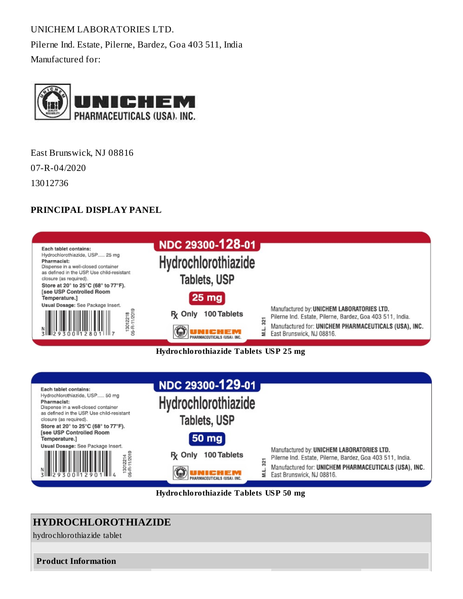UNICHEM LABORATORIES LTD.

Pilerne Ind. Estate, Pilerne, Bardez, Goa 403 511, India Manufactured for:



East Brunswick, NJ 08816 07-R-04/2020 13012736

### **PRINCIPAL DISPLAY PANEL**



**Hydrochlorothiazide Tablets USP 25 mg**



**Hydrochlorothiazide Tablets USP 50 mg**

## **HYDROCHLOROTHIAZIDE**

hydrochlorothiazide tablet

**Product Information**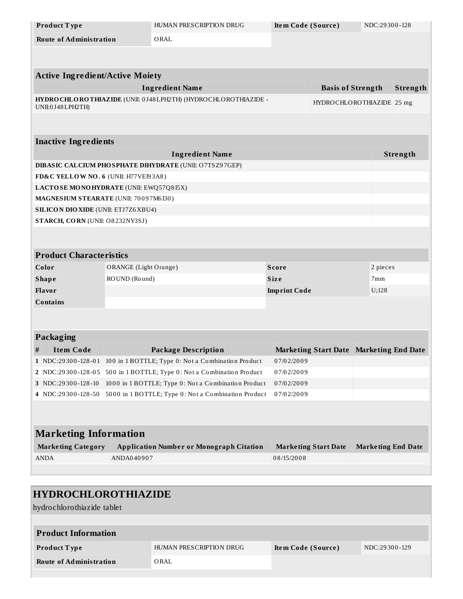| Product Type                                |                       | HUMAN PRESCRIPTION DRUG                                       | Item Code (Source)  |                             |          | NDC:29300-128                             |  |  |  |
|---------------------------------------------|-----------------------|---------------------------------------------------------------|---------------------|-----------------------------|----------|-------------------------------------------|--|--|--|
| <b>Route of Administration</b>              |                       | ORAL                                                          |                     |                             |          |                                           |  |  |  |
|                                             |                       |                                                               |                     |                             |          |                                           |  |  |  |
|                                             |                       |                                                               |                     |                             |          |                                           |  |  |  |
| <b>Active Ingredient/Active Moiety</b>      |                       |                                                               |                     |                             |          |                                           |  |  |  |
| <b>Ingredient Name</b>                      |                       |                                                               |                     | <b>Basis of Strength</b>    |          | Strength                                  |  |  |  |
| UNII:0 J48 LPH2TH)                          |                       | HYDROCHLOROTHIAZIDE (UNII: 0J48LPH2TH) (HYDROCHLOROTHIAZIDE - |                     | HYDROCHLOROTHIAZIDE 25 mg   |          |                                           |  |  |  |
|                                             |                       |                                                               |                     |                             |          |                                           |  |  |  |
|                                             |                       |                                                               |                     |                             |          |                                           |  |  |  |
| <b>Inactive Ingredients</b>                 |                       |                                                               |                     |                             |          |                                           |  |  |  |
|                                             |                       | <b>Ingredient Name</b>                                        |                     |                             |          | Strength                                  |  |  |  |
|                                             |                       | DIBASIC CALCIUM PHOSPHATE DIHYDRATE (UNII: O7TSZ97GEP)        |                     |                             |          |                                           |  |  |  |
| FD&C YELLOW NO. 6 (UNII: H77VEI93A8)        |                       |                                                               |                     |                             |          |                                           |  |  |  |
| LACTOSE MONOHYDRATE (UNII: EWQ57Q8I5X)      |                       |                                                               |                     |                             |          |                                           |  |  |  |
| MAGNESIUM STEARATE (UNII: 70097M6I30)       |                       |                                                               |                     |                             |          |                                           |  |  |  |
| <b>SILICON DIO XIDE (UNII: ETJ7Z6 XBU4)</b> |                       |                                                               |                     |                             |          |                                           |  |  |  |
| STARCH, CORN (UNII: O8232NY3SJ)             |                       |                                                               |                     |                             |          |                                           |  |  |  |
|                                             |                       |                                                               |                     |                             |          |                                           |  |  |  |
| <b>Product Characteristics</b>              |                       |                                                               |                     |                             |          |                                           |  |  |  |
| Color                                       | ORANGE (Light Orange) |                                                               | <b>Score</b>        |                             | 2 pieces |                                           |  |  |  |
| <b>Shape</b>                                | ROUND (Round)         |                                                               | <b>Size</b>         |                             |          | 7mm                                       |  |  |  |
| <b>Flavor</b>                               |                       |                                                               | <b>Imprint Code</b> |                             |          | U;128                                     |  |  |  |
| <b>Contains</b>                             |                       |                                                               |                     |                             |          |                                           |  |  |  |
|                                             |                       |                                                               |                     |                             |          |                                           |  |  |  |
|                                             |                       |                                                               |                     |                             |          |                                           |  |  |  |
| <b>Packaging</b>                            |                       |                                                               |                     |                             |          |                                           |  |  |  |
| #<br><b>Item Code</b>                       |                       | <b>Package Description</b>                                    |                     |                             |          | Marketing Start Date   Marketing End Date |  |  |  |
| $1$ NDC:29300-128-01                        |                       | 100 in 1 BOTTLE; Type 0: Not a Combination Product            | 07/02/2009          |                             |          |                                           |  |  |  |
| 2 NDC:29300-128-05                          |                       | 500 in 1 BOTTLE; Type 0: Not a Combination Product            | 07/02/2009          |                             |          |                                           |  |  |  |
| 3 NDC:29300-128-10                          |                       | 1000 in 1 BOTTLE; Type 0: Not a Combination Product           | 07/02/2009          |                             |          |                                           |  |  |  |
| 4 NDC:29300-128-50                          |                       | 5000 in 1 BOTTLE; Type 0: Not a Combination Product           | 07/02/2009          |                             |          |                                           |  |  |  |
|                                             |                       |                                                               |                     |                             |          |                                           |  |  |  |
|                                             |                       |                                                               |                     |                             |          |                                           |  |  |  |
| <b>Marketing Information</b>                |                       |                                                               |                     |                             |          |                                           |  |  |  |
| <b>Marketing Category</b>                   |                       | <b>Application Number or Monograph Citation</b>               |                     | <b>Marketing Start Date</b> |          | <b>Marketing End Date</b>                 |  |  |  |
| <b>ANDA</b>                                 | ANDA040907            |                                                               | 08/15/2008          |                             |          |                                           |  |  |  |
|                                             |                       |                                                               |                     |                             |          |                                           |  |  |  |
|                                             |                       |                                                               |                     |                             |          |                                           |  |  |  |

# **HYDROCHLOROTHIAZIDE**

hydrochlorothiazide tablet

| <b>Product Information</b>     |                         |                    |               |  |  |  |  |
|--------------------------------|-------------------------|--------------------|---------------|--|--|--|--|
| <b>Product Type</b>            | HUMAN PRESCRIPTION DRUG | Item Code (Source) | NDC:29300-129 |  |  |  |  |
| <b>Route of Administration</b> | ORAL                    |                    |               |  |  |  |  |